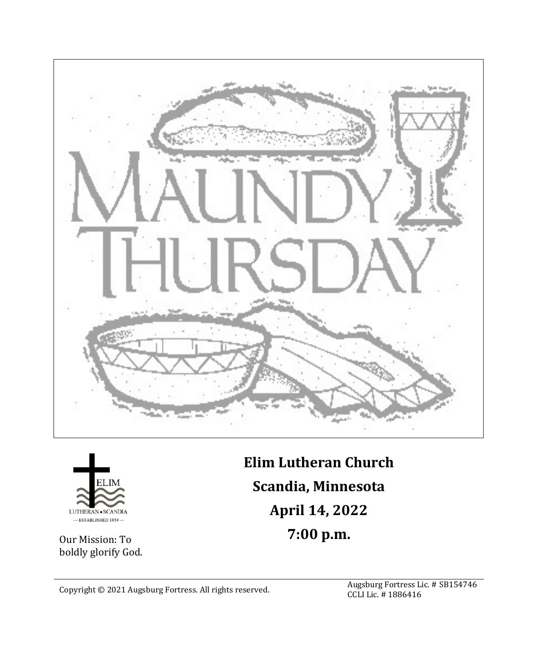



Our Mission: To boldly glorify God. **Elim Lutheran Church Scandia, Minnesota April 14, 2022 7:00 p.m.**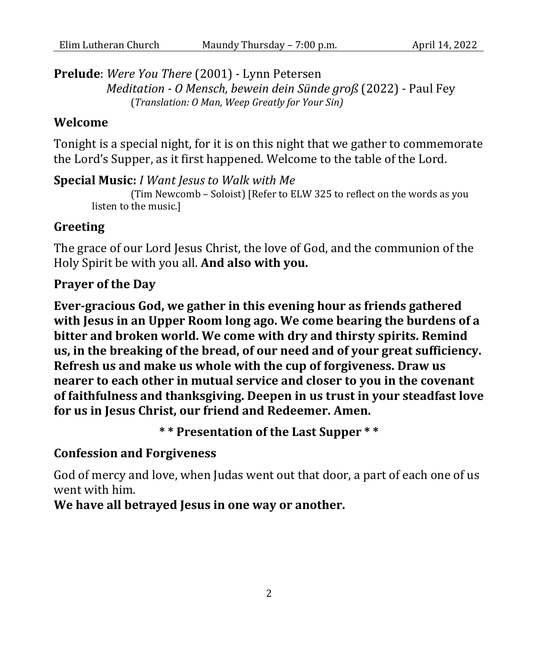**Prelude**: *Were You There* (2001) - Lynn Petersen *Meditation - O Mensch, bewein dein Sünde groß* (2022) - Paul Fey

(*Translation: O Man, Weep Greatly for Your Sin)*

### **Welcome**

Tonight is a special night, for it is on this night that we gather to commemorate the Lord's Supper, as it first happened. Welcome to the table of the Lord.

**Special Music:** *I Want Jesus to Walk with Me* (Tim Newcomb – Soloist) [Refer to ELW 325 to reflect on the words as you listen to the music.]

### **Greeting**

The grace of our Lord Jesus Christ, the love of God, and the communion of the Holy Spirit be with you all. **And also with you.**

## **Prayer of the Day**

**Ever-gracious God, we gather in this evening hour as friends gathered with Jesus in an Upper Room long ago. We come bearing the burdens of a bitter and broken world. We come with dry and thirsty spirits. Remind us, in the breaking of the bread, of our need and of your great sufficiency. Refresh us and make us whole with the cup of forgiveness. Draw us nearer to each other in mutual service and closer to you in the covenant of faithfulness and thanksgiving. Deepen in us trust in your steadfast love for us in Jesus Christ, our friend and Redeemer. Amen.**

**\* \* Presentation of the Last Supper \* \***

#### **Confession and Forgiveness**

God of mercy and love, when Judas went out that door, a part of each one of us went with him.

**We have all betrayed Jesus in one way or another.**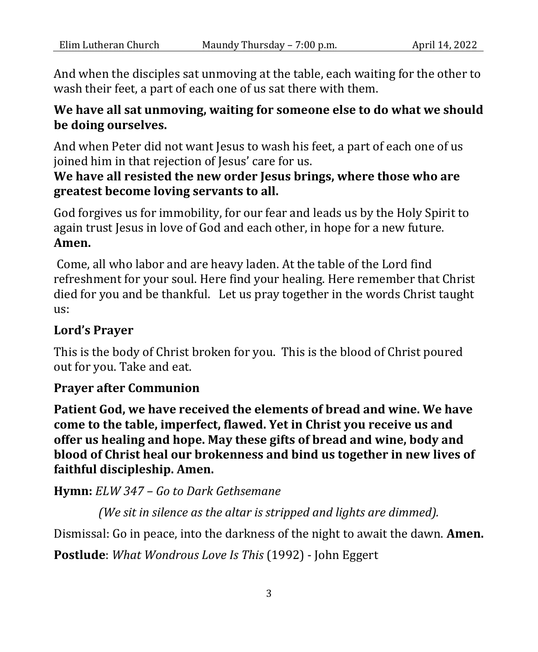And when the disciples sat unmoving at the table, each waiting for the other to wash their feet, a part of each one of us sat there with them.

# **We have all sat unmoving, waiting for someone else to do what we should be doing ourselves.**

And when Peter did not want Jesus to wash his feet, a part of each one of us joined him in that rejection of Jesus' care for us.

# **We have all resisted the new order Jesus brings, where those who are greatest become loving servants to all.**

God forgives us for immobility, for our fear and leads us by the Holy Spirit to again trust Jesus in love of God and each other, in hope for a new future. **Amen.**

Come, all who labor and are heavy laden. At the table of the Lord find refreshment for your soul. Here find your healing. Here remember that Christ died for you and be thankful. Let us pray together in the words Christ taught us:

# **Lord's Prayer**

This is the body of Christ broken for you. This is the blood of Christ poured out for you. Take and eat.

## **Prayer after Communion**

**Patient God, we have received the elements of bread and wine. We have come to the table, imperfect, flawed. Yet in Christ you receive us and offer us healing and hope. May these gifts of bread and wine, body and blood of Christ heal our brokenness and bind us together in new lives of faithful discipleship. Amen.**

**Hymn:** *ELW 347 – Go to Dark Gethsemane*

*(We sit in silence as the altar is stripped and lights are dimmed).*

Dismissal: Go in peace, into the darkness of the night to await the dawn. **Amen.**

**Postlude**: *What Wondrous Love Is This* (1992) - John Eggert